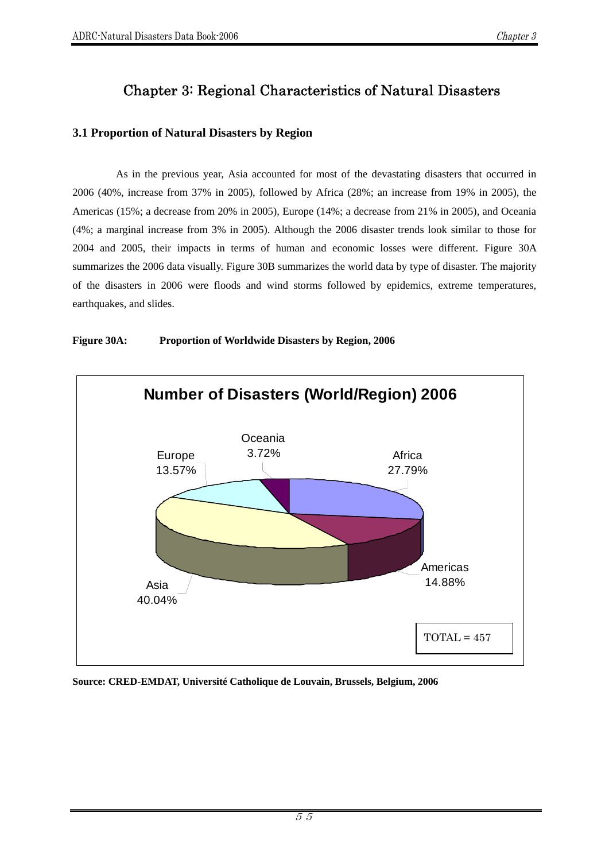# Chapter 3: Regional Characteristics of Natural Disasters

# **3.1 Proportion of Natural Disasters by Region**

As in the previous year, Asia accounted for most of the devastating disasters that occurred in 2006 (40%, increase from 37% in 2005), followed by Africa (28%; an increase from 19% in 2005), the Americas (15%; a decrease from 20% in 2005), Europe (14%; a decrease from 21% in 2005), and Oceania (4%; a marginal increase from 3% in 2005). Although the 2006 disaster trends look similar to those for 2004 and 2005, their impacts in terms of human and economic losses were different. Figure 30A summarizes the 2006 data visually. Figure 30B summarizes the world data by type of disaster. The majority of the disasters in 2006 were floods and wind storms followed by epidemics, extreme temperatures, earthquakes, and slides.



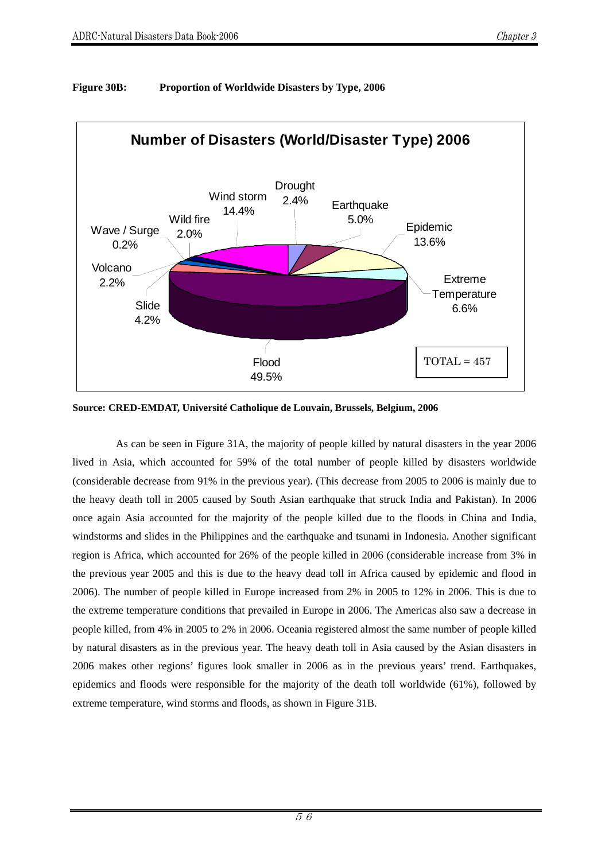

#### **Figure 30B: Proportion of Worldwide Disasters by Type, 2006**

**Source: CRED-EMDAT, Université Catholique de Louvain, Brussels, Belgium, 2006** 

As can be seen in Figure 31A, the majority of people killed by natural disasters in the year 2006 lived in Asia, which accounted for 59% of the total number of people killed by disasters worldwide (considerable decrease from 91% in the previous year). (This decrease from 2005 to 2006 is mainly due to the heavy death toll in 2005 caused by South Asian earthquake that struck India and Pakistan). In 2006 once again Asia accounted for the majority of the people killed due to the floods in China and India, windstorms and slides in the Philippines and the earthquake and tsunami in Indonesia. Another significant region is Africa, which accounted for 26% of the people killed in 2006 (considerable increase from 3% in the previous year 2005 and this is due to the heavy dead toll in Africa caused by epidemic and flood in 2006). The number of people killed in Europe increased from 2% in 2005 to 12% in 2006. This is due to the extreme temperature conditions that prevailed in Europe in 2006. The Americas also saw a decrease in people killed, from 4% in 2005 to 2% in 2006. Oceania registered almost the same number of people killed by natural disasters as in the previous year. The heavy death toll in Asia caused by the Asian disasters in 2006 makes other regions' figures look smaller in 2006 as in the previous years' trend. Earthquakes, epidemics and floods were responsible for the majority of the death toll worldwide (61%), followed by extreme temperature, wind storms and floods, as shown in Figure 31B.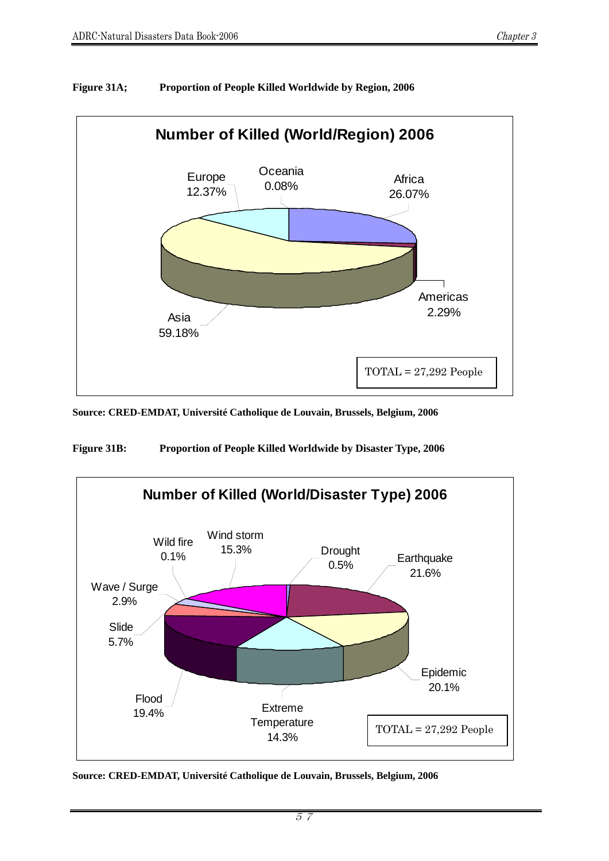

# **Figure 31A; Proportion of People Killed Worldwide by Region, 2006**

**Source: CRED-EMDAT, Université Catholique de Louvain, Brussels, Belgium, 2006** 

**Figure 31B: Proportion of People Killed Worldwide by Disaster Type, 2006** 

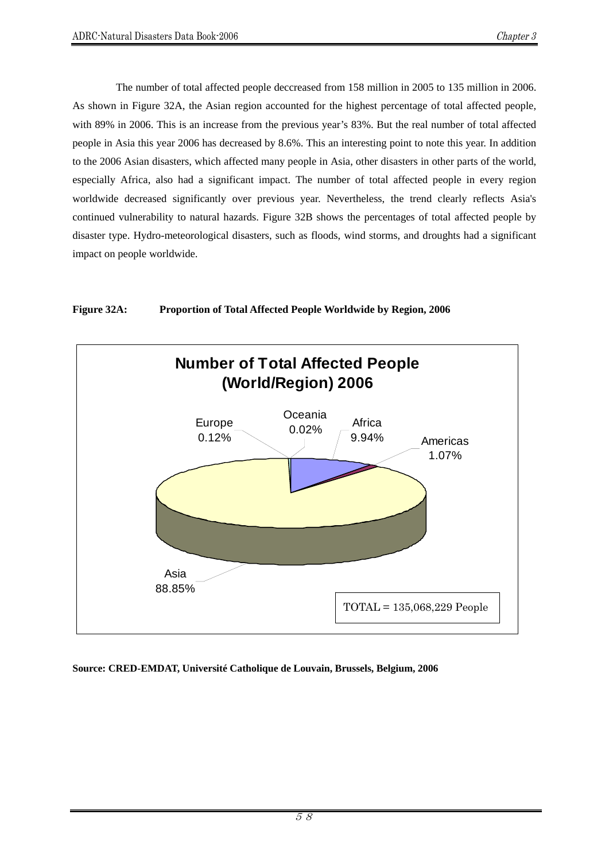The number of total affected people deccreased from 158 million in 2005 to 135 million in 2006. As shown in Figure 32A, the Asian region accounted for the highest percentage of total affected people, with 89% in 2006. This is an increase from the previous year's 83%. But the real number of total affected people in Asia this year 2006 has decreased by 8.6%. This an interesting point to note this year. In addition to the 2006 Asian disasters, which affected many people in Asia, other disasters in other parts of the world, especially Africa, also had a significant impact. The number of total affected people in every region worldwide decreased significantly over previous year. Nevertheless, the trend clearly reflects Asia's continued vulnerability to natural hazards. Figure 32B shows the percentages of total affected people by disaster type. Hydro-meteorological disasters, such as floods, wind storms, and droughts had a significant impact on people worldwide.



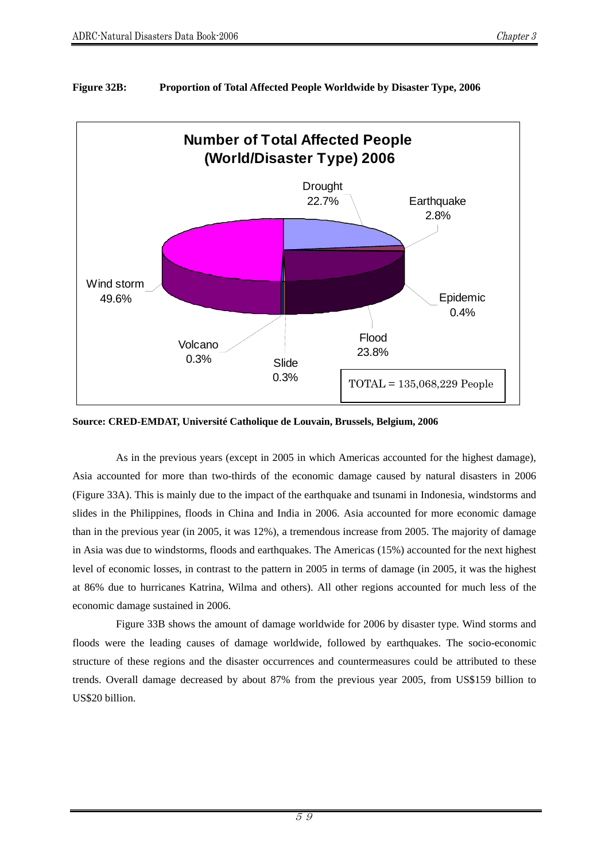# **Figure 32B: Proportion of Total Affected People Worldwide by Disaster Type, 2006**



**Source: CRED-EMDAT, Université Catholique de Louvain, Brussels, Belgium, 2006** 

As in the previous years (except in 2005 in which Americas accounted for the highest damage), Asia accounted for more than two-thirds of the economic damage caused by natural disasters in 2006 (Figure 33A). This is mainly due to the impact of the earthquake and tsunami in Indonesia, windstorms and slides in the Philippines, floods in China and India in 2006. Asia accounted for more economic damage than in the previous year (in 2005, it was 12%), a tremendous increase from 2005. The majority of damage in Asia was due to windstorms, floods and earthquakes. The Americas (15%) accounted for the next highest level of economic losses, in contrast to the pattern in 2005 in terms of damage (in 2005, it was the highest at 86% due to hurricanes Katrina, Wilma and others). All other regions accounted for much less of the economic damage sustained in 2006.

Figure 33B shows the amount of damage worldwide for 2006 by disaster type. Wind storms and floods were the leading causes of damage worldwide, followed by earthquakes. The socio-economic structure of these regions and the disaster occurrences and countermeasures could be attributed to these trends. Overall damage decreased by about 87% from the previous year 2005, from US\$159 billion to US\$20 billion.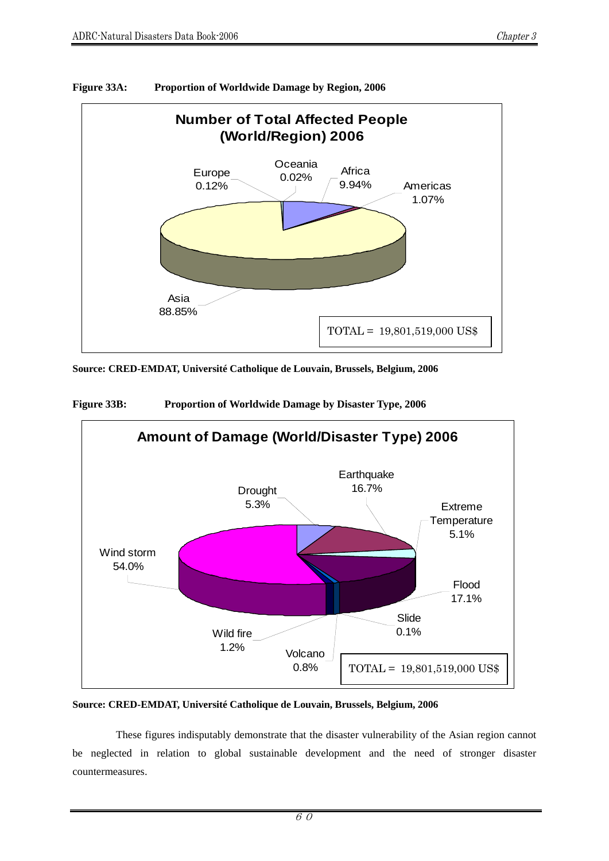

#### **Figure 33A: Proportion of Worldwide Damage by Region, 2006**

**Source: CRED-EMDAT, Université Catholique de Louvain, Brussels, Belgium, 2006** 





#### **Source: CRED-EMDAT, Université Catholique de Louvain, Brussels, Belgium, 2006**

 These figures indisputably demonstrate that the disaster vulnerability of the Asian region cannot be neglected in relation to global sustainable development and the need of stronger disaster countermeasures.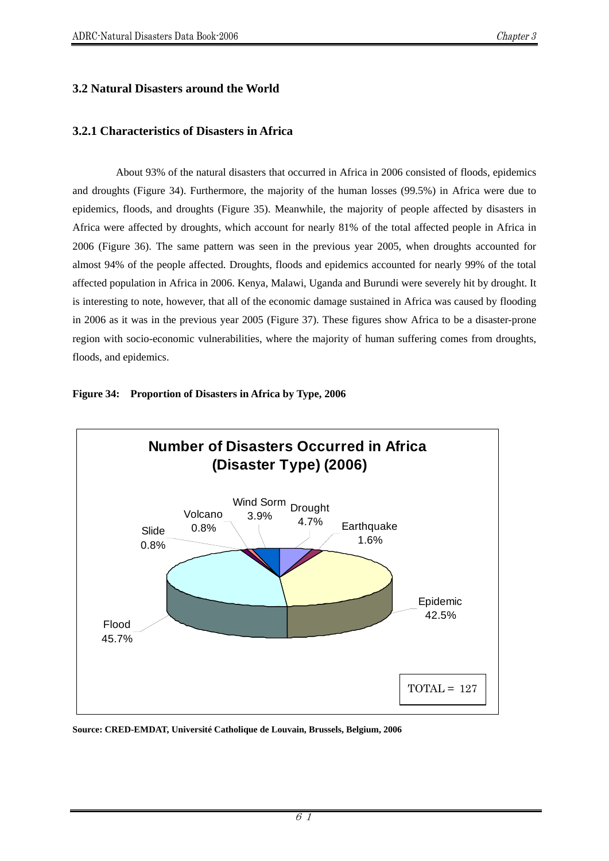# **3.2 Natural Disasters around the World**

# **3.2.1 Characteristics of Disasters in Africa**

About 93% of the natural disasters that occurred in Africa in 2006 consisted of floods, epidemics and droughts (Figure 34). Furthermore, the majority of the human losses (99.5%) in Africa were due to epidemics, floods, and droughts (Figure 35). Meanwhile, the majority of people affected by disasters in Africa were affected by droughts, which account for nearly 81% of the total affected people in Africa in 2006 (Figure 36). The same pattern was seen in the previous year 2005, when droughts accounted for almost 94% of the people affected. Droughts, floods and epidemics accounted for nearly 99% of the total affected population in Africa in 2006. Kenya, Malawi, Uganda and Burundi were severely hit by drought. It is interesting to note, however, that all of the economic damage sustained in Africa was caused by flooding in 2006 as it was in the previous year 2005 (Figure 37). These figures show Africa to be a disaster-prone region with socio-economic vulnerabilities, where the majority of human suffering comes from droughts, floods, and epidemics.



#### **Figure 34: Proportion of Disasters in Africa by Type, 2006**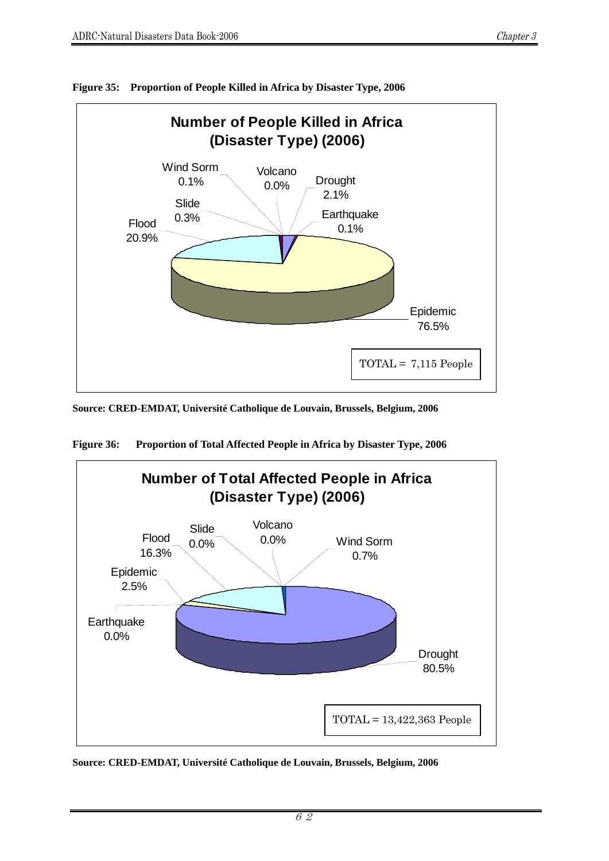

**Figure 35: Proportion of People Killed in Africa by Disaster Type, 2006** 

**Source: CRED-EMDAT, Université Catholique de Louvain, Brussels, Belgium, 2006** 



**Figure 36: Proportion of Total Affected People in Africa by Disaster Type, 2006**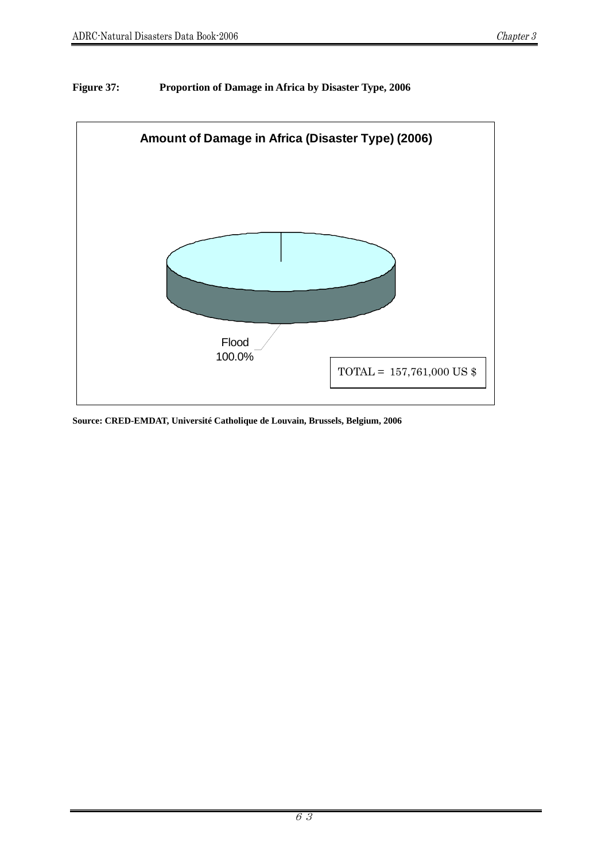# **Figure 37: Proportion of Damage in Africa by Disaster Type, 2006**

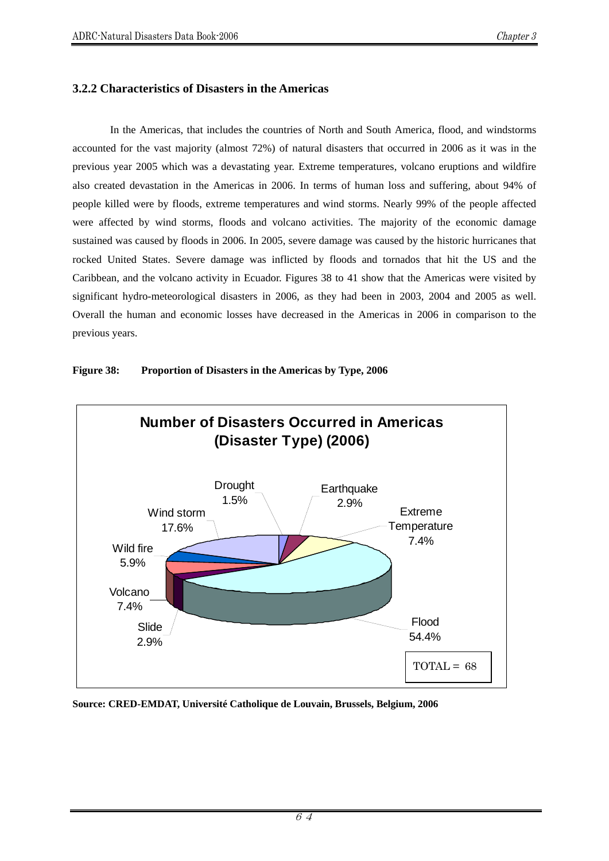# **3.2.2 Characteristics of Disasters in the Americas**

In the Americas, that includes the countries of North and South America, flood, and windstorms accounted for the vast majority (almost 72%) of natural disasters that occurred in 2006 as it was in the previous year 2005 which was a devastating year. Extreme temperatures, volcano eruptions and wildfire also created devastation in the Americas in 2006. In terms of human loss and suffering, about 94% of people killed were by floods, extreme temperatures and wind storms. Nearly 99% of the people affected were affected by wind storms, floods and volcano activities. The majority of the economic damage sustained was caused by floods in 2006. In 2005, severe damage was caused by the historic hurricanes that rocked United States. Severe damage was inflicted by floods and tornados that hit the US and the Caribbean, and the volcano activity in Ecuador. Figures 38 to 41 show that the Americas were visited by significant hydro-meteorological disasters in 2006, as they had been in 2003, 2004 and 2005 as well. Overall the human and economic losses have decreased in the Americas in 2006 in comparison to the previous years.



#### **Figure 38: Proportion of Disasters in the Americas by Type, 2006**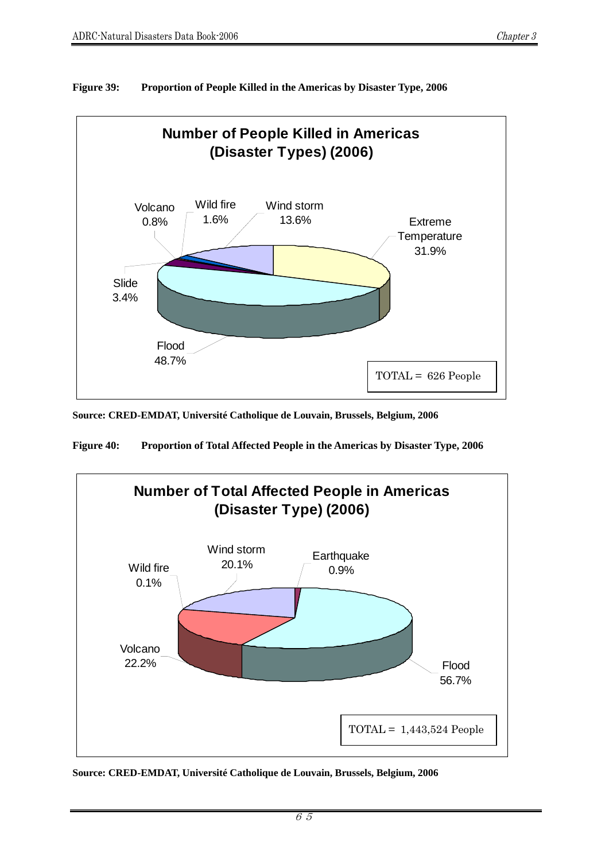

**Figure 39: Proportion of People Killed in the Americas by Disaster Type, 2006** 

**Source: CRED-EMDAT, Université Catholique de Louvain, Brussels, Belgium, 2006**

**Figure 40: Proportion of Total Affected People in the Americas by Disaster Type, 2006** 

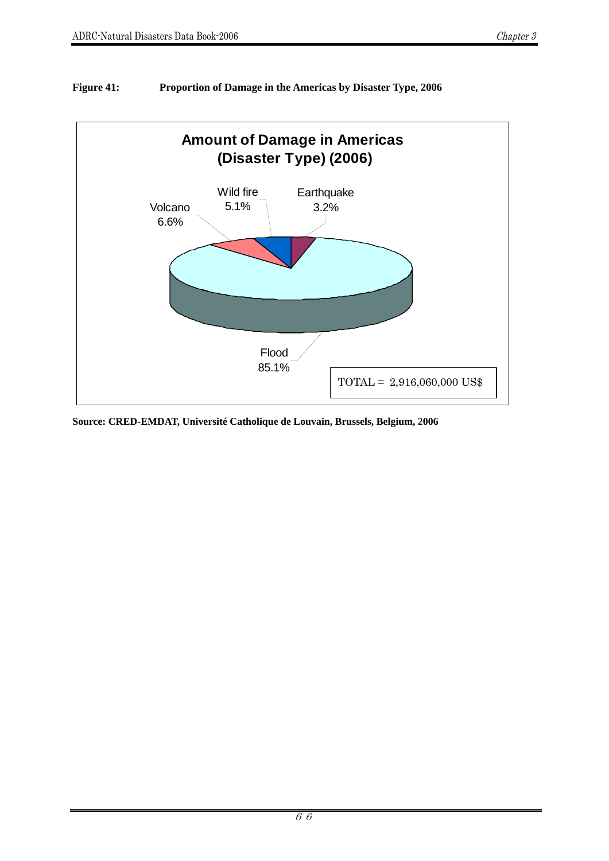

# **Figure 41: Proportion of Damage in the Americas by Disaster Type, 2006**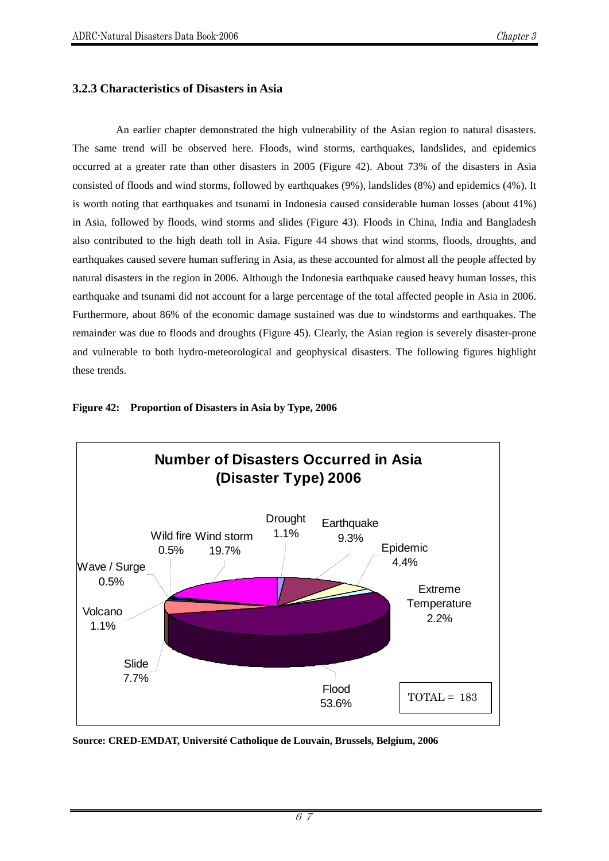## **3.2.3 Characteristics of Disasters in Asia**

An earlier chapter demonstrated the high vulnerability of the Asian region to natural disasters. The same trend will be observed here. Floods, wind storms, earthquakes, landslides, and epidemics occurred at a greater rate than other disasters in 2005 (Figure 42). About 73% of the disasters in Asia consisted of floods and wind storms, followed by earthquakes (9%), landslides (8%) and epidemics (4%). It is worth noting that earthquakes and tsunami in Indonesia caused considerable human losses (about 41%) in Asia, followed by floods, wind storms and slides (Figure 43). Floods in China, India and Bangladesh also contributed to the high death toll in Asia. Figure 44 shows that wind storms, floods, droughts, and earthquakes caused severe human suffering in Asia, as these accounted for almost all the people affected by natural disasters in the region in 2006. Although the Indonesia earthquake caused heavy human losses, this earthquake and tsunami did not account for a large percentage of the total affected people in Asia in 2006. Furthermore, about 86% of the economic damage sustained was due to windstorms and earthquakes. The remainder was due to floods and droughts (Figure 45). Clearly, the Asian region is severely disaster-prone and vulnerable to both hydro-meteorological and geophysical disasters. The following figures highlight these trends.



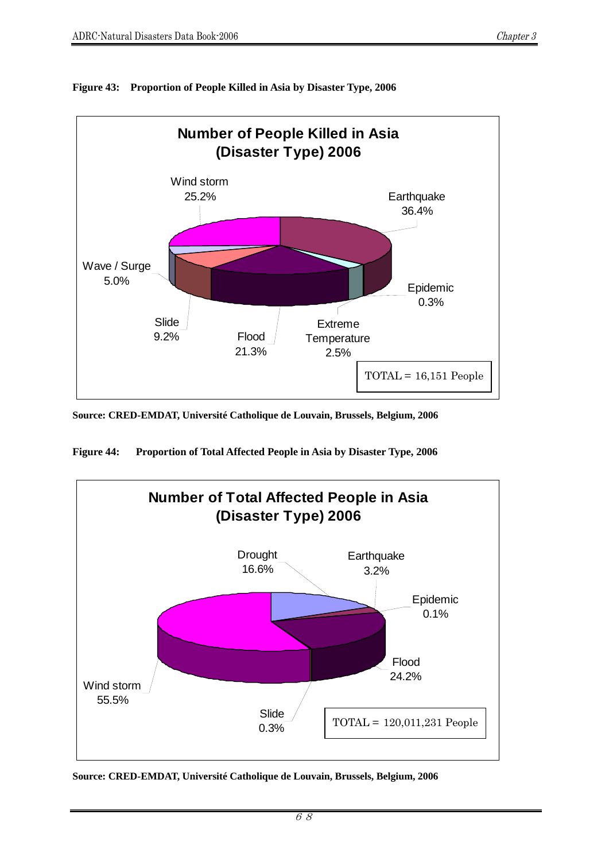

**Figure 43: Proportion of People Killed in Asia by Disaster Type, 2006** 

**Source: CRED-EMDAT, Université Catholique de Louvain, Brussels, Belgium, 2006** 

**Figure 44: Proportion of Total Affected People in Asia by Disaster Type, 2006** 

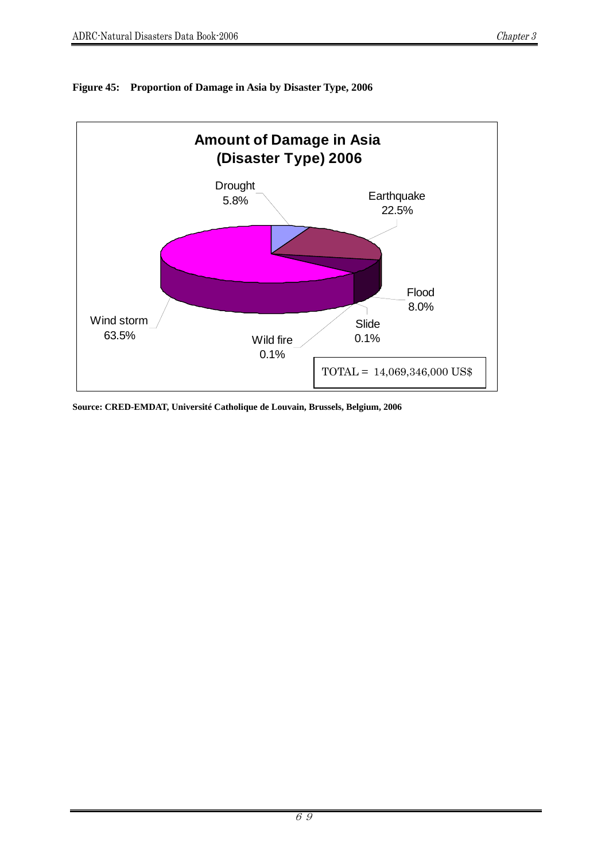

# **Figure 45: Proportion of Damage in Asia by Disaster Type, 2006**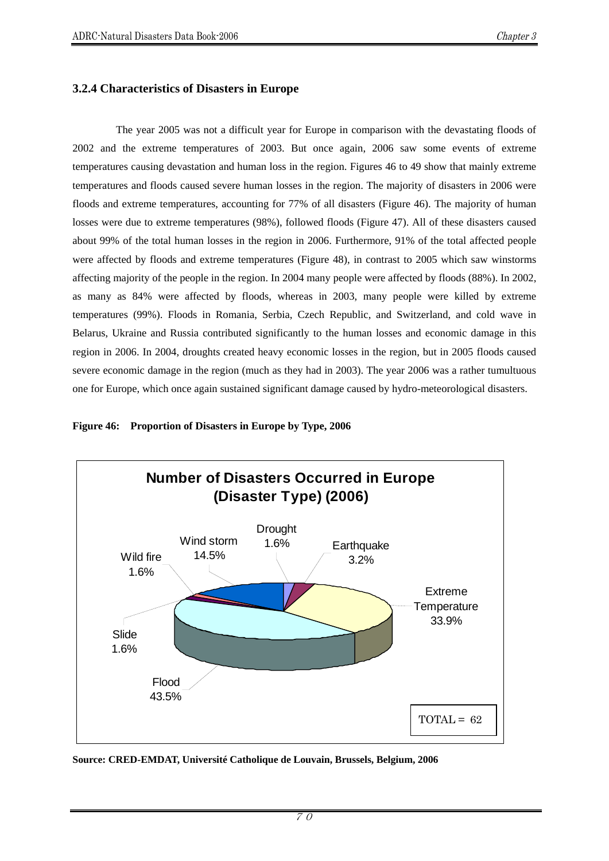# **3.2.4 Characteristics of Disasters in Europe**

The year 2005 was not a difficult year for Europe in comparison with the devastating floods of 2002 and the extreme temperatures of 2003. But once again, 2006 saw some events of extreme temperatures causing devastation and human loss in the region. Figures 46 to 49 show that mainly extreme temperatures and floods caused severe human losses in the region. The majority of disasters in 2006 were floods and extreme temperatures, accounting for 77% of all disasters (Figure 46). The majority of human losses were due to extreme temperatures (98%), followed floods (Figure 47). All of these disasters caused about 99% of the total human losses in the region in 2006. Furthermore, 91% of the total affected people were affected by floods and extreme temperatures (Figure 48), in contrast to 2005 which saw winstorms affecting majority of the people in the region. In 2004 many people were affected by floods (88%). In 2002, as many as 84% were affected by floods, whereas in 2003, many people were killed by extreme temperatures (99%). Floods in Romania, Serbia, Czech Republic, and Switzerland, and cold wave in Belarus, Ukraine and Russia contributed significantly to the human losses and economic damage in this region in 2006. In 2004, droughts created heavy economic losses in the region, but in 2005 floods caused severe economic damage in the region (much as they had in 2003). The year 2006 was a rather tumultuous one for Europe, which once again sustained significant damage caused by hydro-meteorological disasters.



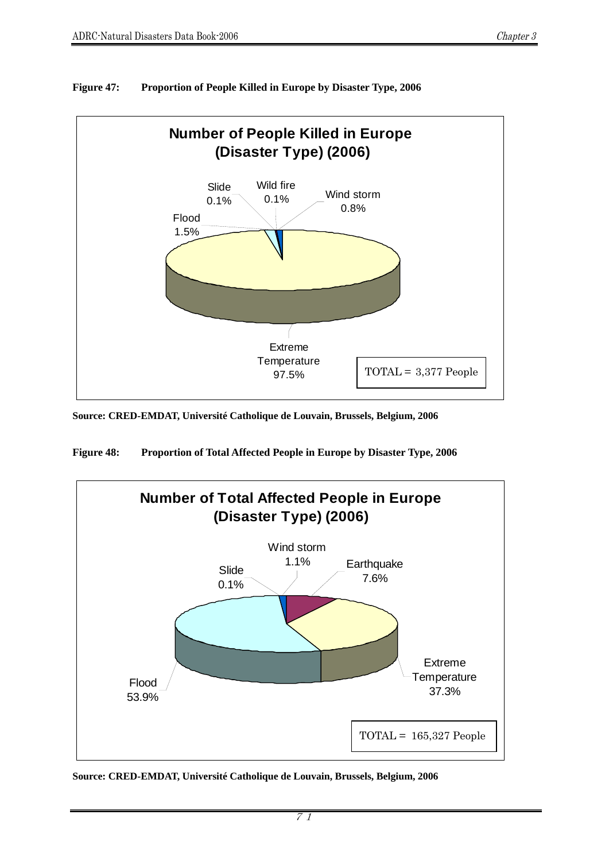

**Figure 47: Proportion of People Killed in Europe by Disaster Type, 2006** 

**Source: CRED-EMDAT, Université Catholique de Louvain, Brussels, Belgium, 2006** 

**Figure 48: Proportion of Total Affected People in Europe by Disaster Type, 2006** 

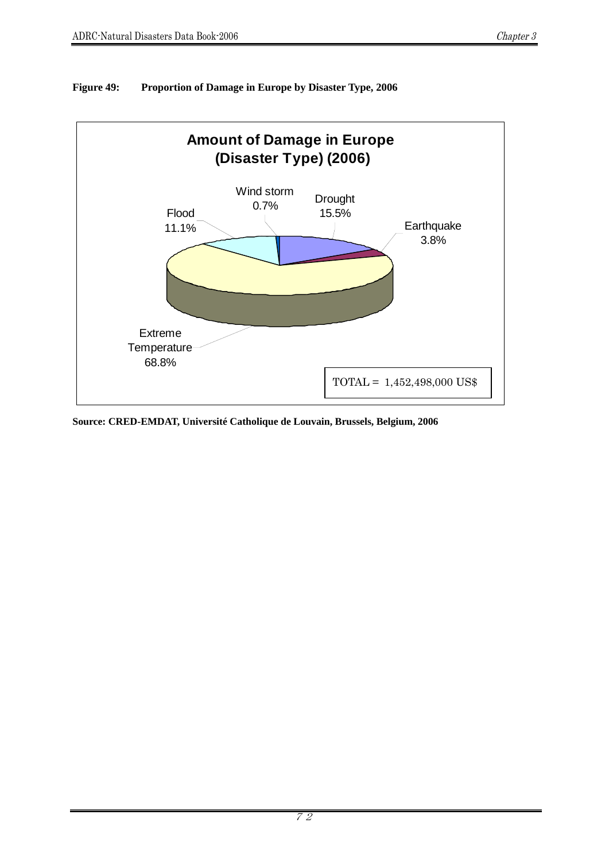



**Source: CRED-EMDAT, Université Catholique de Louvain, Brussels, Belgium, 2006**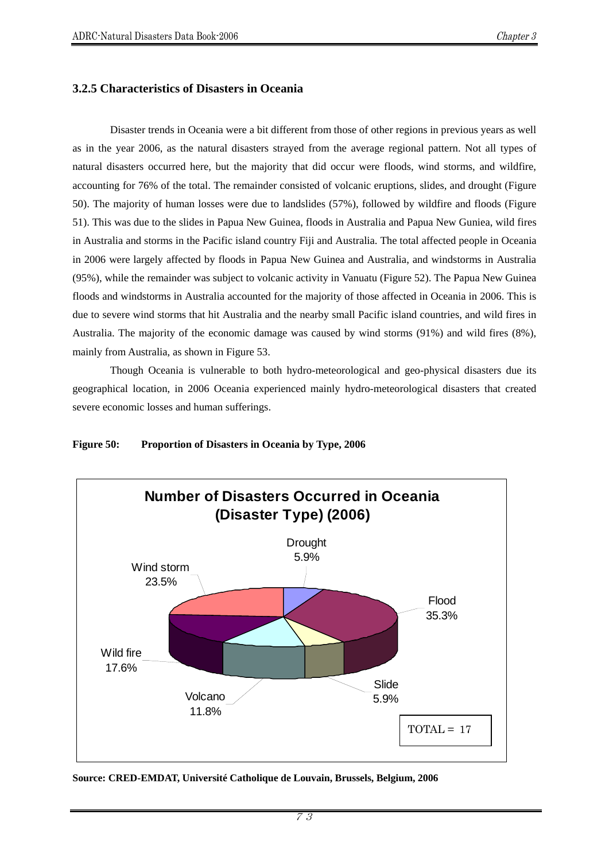# **3.2.5 Characteristics of Disasters in Oceania**

Disaster trends in Oceania were a bit different from those of other regions in previous years as well as in the year 2006, as the natural disasters strayed from the average regional pattern. Not all types of natural disasters occurred here, but the majority that did occur were floods, wind storms, and wildfire, accounting for 76% of the total. The remainder consisted of volcanic eruptions, slides, and drought (Figure 50). The majority of human losses were due to landslides (57%), followed by wildfire and floods (Figure 51). This was due to the slides in Papua New Guinea, floods in Australia and Papua New Guniea, wild fires in Australia and storms in the Pacific island country Fiji and Australia. The total affected people in Oceania in 2006 were largely affected by floods in Papua New Guinea and Australia, and windstorms in Australia (95%), while the remainder was subject to volcanic activity in Vanuatu (Figure 52). The Papua New Guinea floods and windstorms in Australia accounted for the majority of those affected in Oceania in 2006. This is due to severe wind storms that hit Australia and the nearby small Pacific island countries, and wild fires in Australia. The majority of the economic damage was caused by wind storms (91%) and wild fires (8%), mainly from Australia, as shown in Figure 53.

Though Oceania is vulnerable to both hydro-meteorological and geo-physical disasters due its geographical location, in 2006 Oceania experienced mainly hydro-meteorological disasters that created severe economic losses and human sufferings.

#### **Figure 50: Proportion of Disasters in Oceania by Type, 2006**



**Source: CRED-EMDAT, Université Catholique de Louvain, Brussels, Belgium, 2006** 

73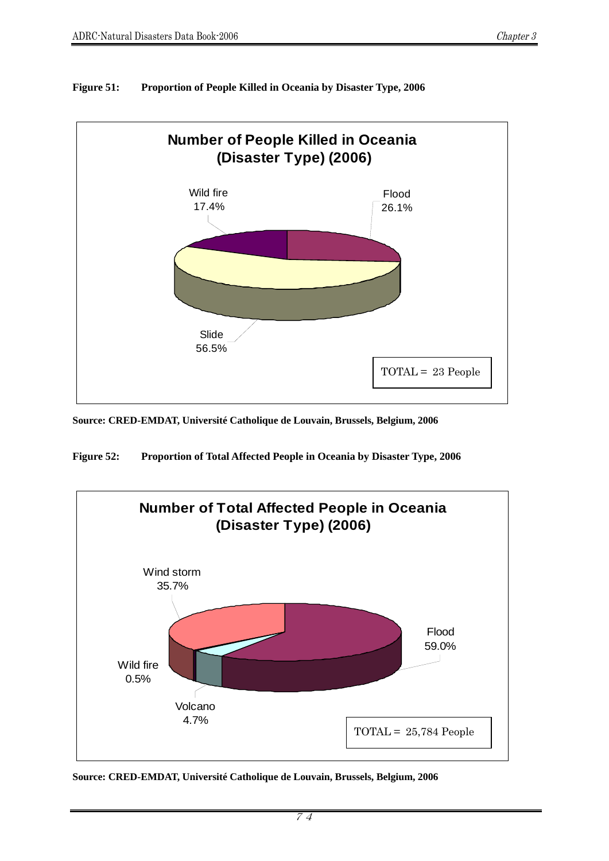

# **Figure 51: Proportion of People Killed in Oceania by Disaster Type, 2006**

**Source: CRED-EMDAT, Université Catholique de Louvain, Brussels, Belgium, 2006** 

**Figure 52: Proportion of Total Affected People in Oceania by Disaster Type, 2006**